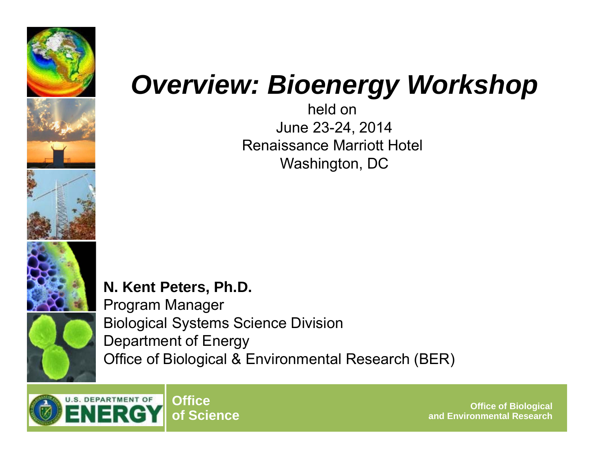





## *Overview: Bioenergy Workshop*

held on June 23-24, 2014 Renaissance Marriott Hotel Washington, DC

**N. Kent Peters, Ph.D.**  Program Manager Biological Systems Science Division Department of Energy Office of Biological & Environmental Research (BER)

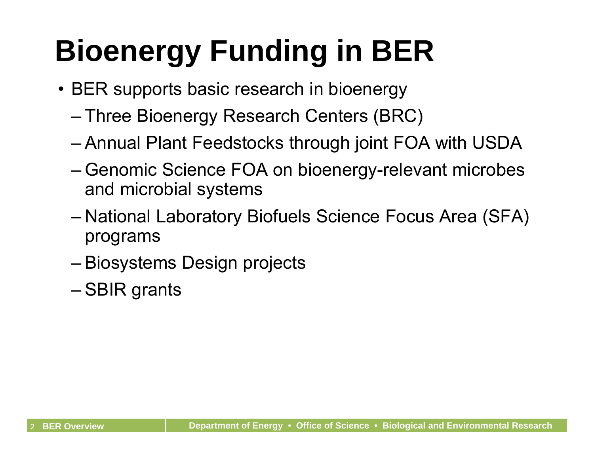## **Bioenergy Funding in BER**

- BER supports basic research in bioenergy
	- Three Bioenergy Research Centers (BRC)
	- Annual Plant Feedstocks through joint FOA with USDA
	- Genomic Science FOA on bioenergy-relevant microbes and microbial systems
	- National Laboratory Biofuels Science Focus Area (SFA) programs
	- Biosystems Design projects
	- SBIR grants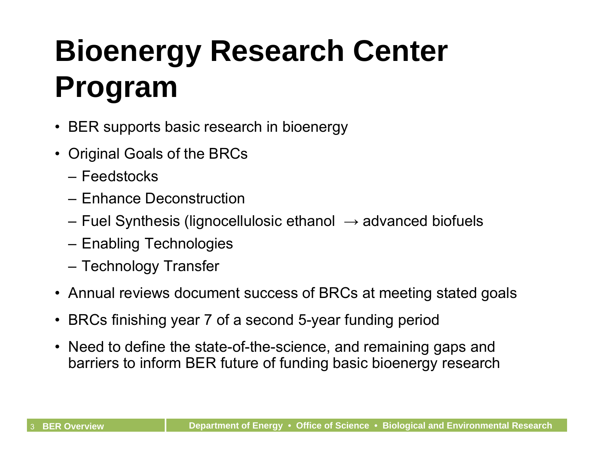## **Bioenergy Research Center Program**

- BER supports basic research in bioenergy
- Original Goals of the BRCs
	- Feedstocks
	- Enhance Deconstruction
	- Fuel Synthesis (lignocellulosic ethanol  $\,\rightarrow$  advanced biofuels
	- Enabling Technologies
	- Technology Transfer
- Annual reviews document success of BRCs at meeting stated goals
- BRCs finishing year 7 of a second 5-year funding period
- Need to define the state-of-the-science, and remaining gaps and barriers to inform BER future of funding basic bioenergy research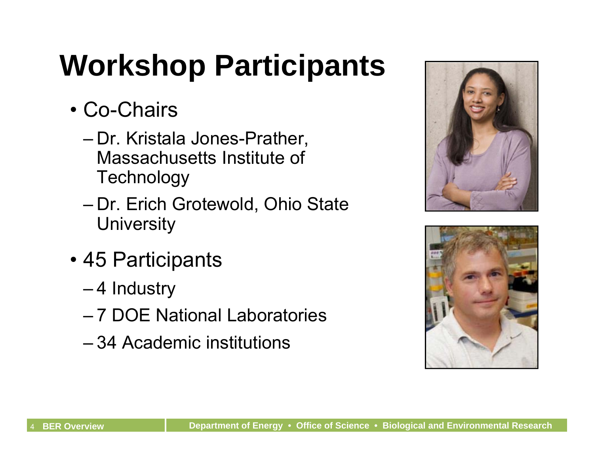## **Workshop Participants**

- Co-Chairs
	- Dr. Kristala Jones-Prather, Massachusetts Institute of **Technology**
	- Dr. Erich Grotewold, Ohio State **University**
- 45 Participants
	- 4 Industry
	- 7 DOE National Laboratories
	- 34 Academic institutions



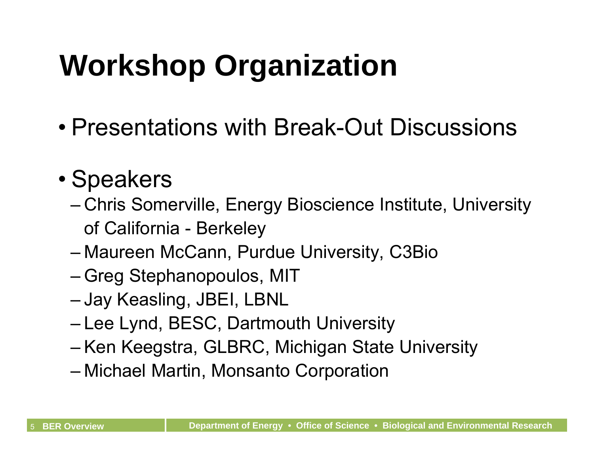## **Workshop Organization**

• Presentations with Break-Out Discussions

#### • Speakers

- Chris Somerville, Energy Bioscience Institute, University of California - Berkeley
- Maureen McCann, Purdue University, C3Bio
- Greg Stephanopoulos, MIT
- Jay Keasling, JBEI, LBNL
- Lee Lynd, BESC, Dartmouth University
- Ken Keegstra, GLBRC, Michigan State University
- Michael Martin, Monsanto Corporation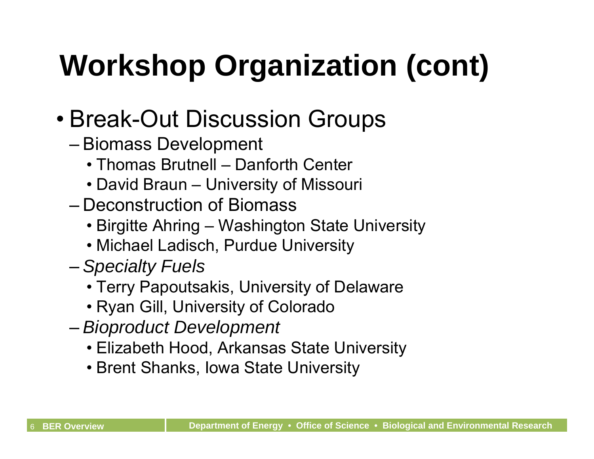# **Workshop Organization (cont)**

- Break-Out Discussion Groups
	- Biomass Development
		- Thomas Brutnell Danforth Center
		- David Braun University of Missouri
	- Deconstruction of Biomass
		- Birgitte Ahring Washington State University
		- Michael Ladisch, Purdue University
	- *Specialty Fuels* 
		- Terry Papoutsakis, University of Delaware
		- Ryan Gill, University of Colorado
	- *Bioproduct Development* 
		- Elizabeth Hood, Arkansas State University
		- Brent Shanks, Iowa State University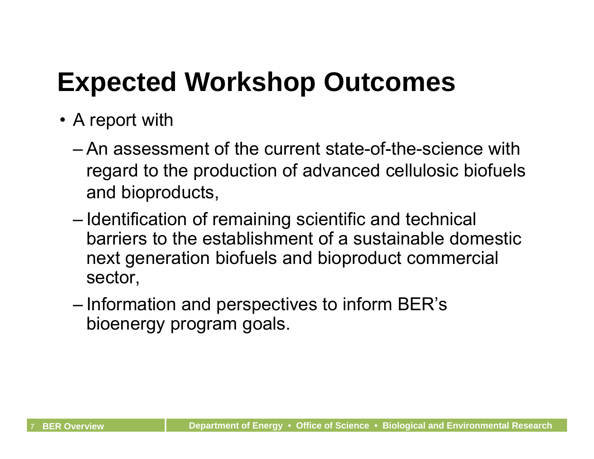## **Expected Workshop Outcomes**

- A report with
	- An assessment of the current state-of-the-science with regard to the production of advanced cellulosic biofuels and bioproducts,
	- Identification of remaining scientific and technical barriers to the establishment of a sustainable domestic next generation biofuels and bioproduct commercial sector,
	- Information and perspectives to inform BER's bioenergy program goals.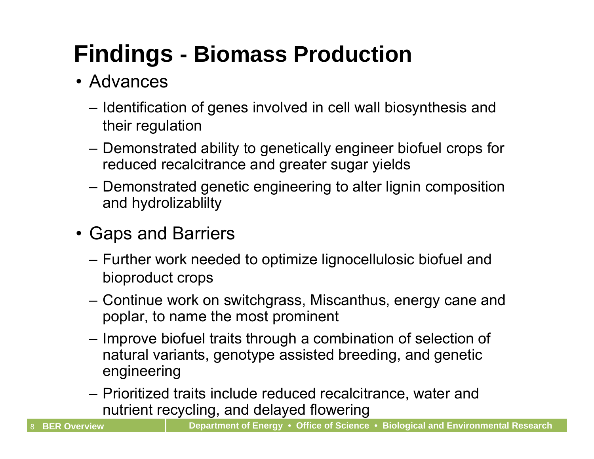### **Findings - Biomass Production**

#### • Advances

- Identification of genes involved in cell wall biosynthesis and their regulation
- Demonstrated ability to genetically engineer biofuel crops for reduced recalcitrance and greater sugar yields
- Demonstrated genetic engineering to alter lignin composition and hydrolizablilty
- Gaps and Barriers
	- Further work needed to optimize lignocellulosic biofuel and bioproduct crops
	- Continue work on switchgrass, Miscanthus, energy cane and poplar, to name the most prominent
	- Improve biofuel traits through a combination of selection of natural variants, genotype assisted breeding, and genetic engineering
	- Prioritized traits include reduced recalcitrance, water and nutrient recycling, and delayed flowering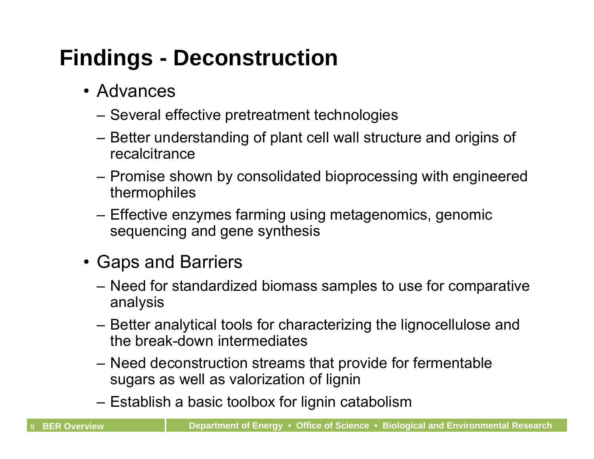#### **Findings - Deconstruction**

- Advances
	- Several effective pretreatment technologies
	- Better understanding of plant cell wall structure and origins of recalcitrance
	- Promise shown by consolidated bioprocessing with engineered thermophiles
	- Effective enzymes farming using metagenomics, genomic sequencing and gene synthesis
- Gaps and Barriers
	- Need for standardized biomass samples to use for comparative analysis
	- Better analytical tools for characterizing the lignocellulose and the break-down intermediates
	- Need deconstruction streams that provide for fermentable sugars as well as valorization of lignin
	- Establish a basic toolbox for lignin catabolism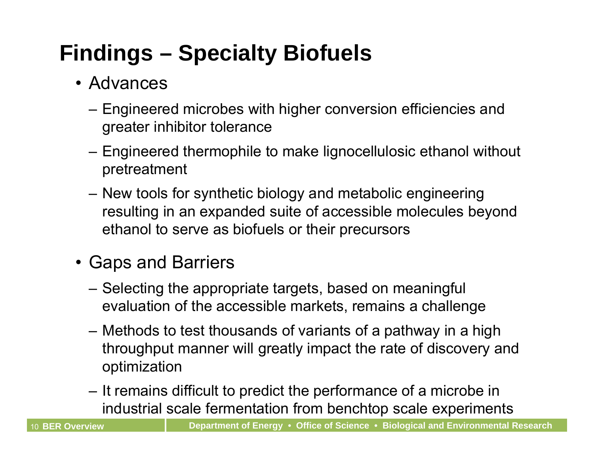### **Findings – Specialty Biofuels**

- Advances
	- Engineered microbes with higher conversion efficiencies and greater inhibitor tolerance
	- Engineered thermophile to make lignocellulosic ethanol without pretreatment
	- New tools for synthetic biology and metabolic engineering resulting in an expanded suite of accessible molecules beyond ethanol to serve as biofuels or their precursors
- Gaps and Barriers
	- Selecting the appropriate targets, based on meaningful evaluation of the accessible markets, remains a challenge
	- Methods to test thousands of variants of a pathway in a high throughput manner will greatly impact the rate of discovery and optimization
	- It remains difficult to predict the performance of a microbe in industrial scale fermentation from benchtop scale experiments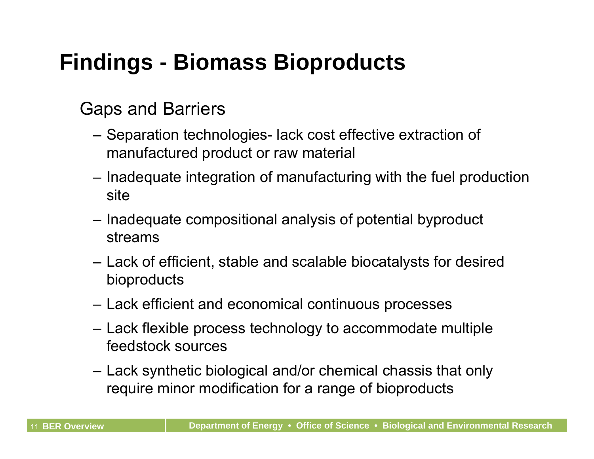#### **Findings - Biomass Bioproducts**

#### Gaps and Barriers

- Separation technologies- lack cost effective extraction of manufactured product or raw material
- Inadequate integration of manufacturing with the fuel production site
- Inadequate compositional analysis of potential byproduct streams
- Lack of efficient, stable and scalable biocatalysts for desired bioproducts
- Lack efficient and economical continuous processes
- Lack flexible process technology to accommodate multiple feedstock sources
- Lack synthetic biological and/or chemical chassis that only require minor modification for a range of bioproducts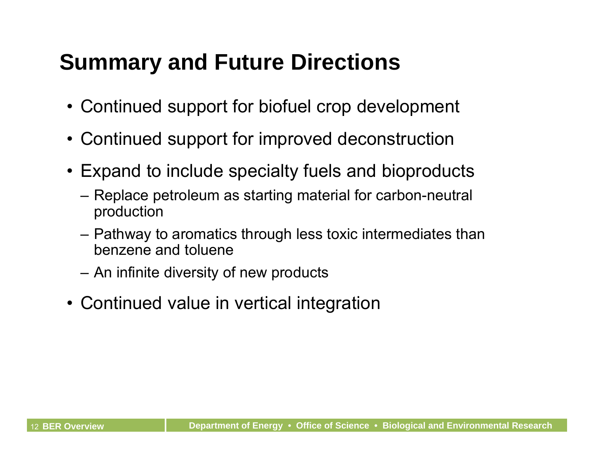#### **Summary and Future Directions**

- Continued support for biofuel crop development
- Continued support for improved deconstruction
- Expand to include specialty fuels and bioproducts
	- Replace petroleum as starting material for carbon-neutral production
	- Pathway to aromatics through less toxic intermediates than benzene and toluene
	- An infinite diversity of new products
- Continued value in vertical integration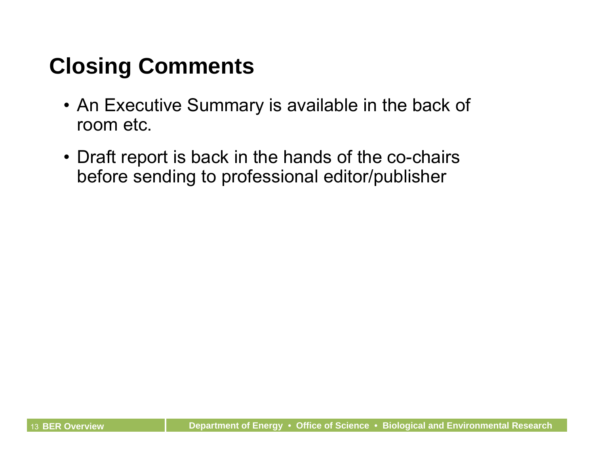#### **Closing Comments**

- An Executive Summary is available in the back of room etc.
- Draft report is back in the hands of the co-chairs before sending to professional editor/publisher